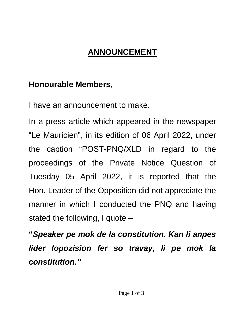## **ANNOUNCEMENT**

## **Honourable Members,**

I have an announcement to make.

In a press article which appeared in the newspaper "Le Mauricien" , in its edition of 06 April 2022, under the caption "POST-PNQ/XLD in regard to the proceedings of the Private Notice Question of Tuesday 05 April 2022, it is reported that the Hon. Leader of the Opposition did not appreciate the manner in which I conducted the PNQ and having stated the following, I quote –

**"***Speaker pe mok de la constitution. Kan li anpes lider lopozision fer so travay, li pe mok la constitution."*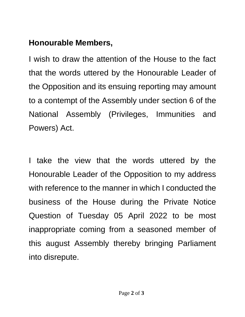## **Honourable Members,**

I wish to draw the attention of the House to the fact that the words uttered by the Honourable Leader of the Opposition and its ensuing reporting may amount to a contempt of the Assembly under section 6 of the National Assembly (Privileges, Immunities and Powers) Act.

I take the view that the words uttered by the Honourable Leader of the Opposition to my address with reference to the manner in which I conducted the business of the House during the Private Notice Question of Tuesday 05 April 2022 to be most inappropriate coming from a seasoned member of this august Assembly thereby bringing Parliament into disrepute.